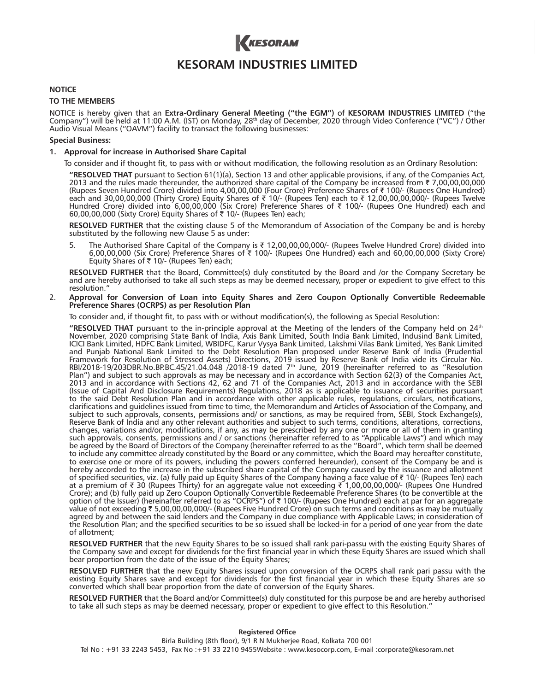

# **KESORAM INDUSTRIES LIMITED**

## **NOTICE**

### **TO THE MEMBERS**

NOTICE is hereby given that an **Extra-Ordinary General Meeting ("the EGM")** of **KESORAM INDUSTRIES LIMITED** ("the Company") will be held at 11:00 A.M. (IST) on Monday, 28<sup>th</sup> day of December, 2020 through Video Conference ("VC") / Other Audio Visual Means ("OAVM") facility to transact the following businesses:

### **Special Business:**

#### **1. Approval for increase in Authorised Share Capital**

To consider and if thought fit, to pass with or without modification, the following resolution as an Ordinary Resolution:

 **"RESOLVED THAT** pursuant to Section 61(1)(a), Section 13 and other applicable provisions, if any, of the Companies Act, 2013 and the rules made thereunder, the authorized share capital of the Company be increased from  $\bar{\tau}$  7,00,00,00,000 (Rupees Seven Hundred Crore) divided into 4,00,00,000 (Four Crore) Preference Shares of ₹100/- (Rupees One Hundred) each and 30,00,00,000 (Thirty Crore) Equity Shares of  $\bar{\tau}$  10/- (Rupees Ten) each to  $\bar{\tau}$  12,00,00,00,00,000/- (Rupees Twelve Hundred Crore) divided into 6,00,00,000 (Six Crore) Preference Shares of ₹ 100/- (Rupees One Hundred) each and 60,00,00,000 (Sixty Crore) Equity Shares of  $\bar{\tau}$  10/- (Rupees Ten) each;

 **RESOLVED FURTHER** that the existing clause 5 of the Memorandum of Association of the Company be and is hereby substituted by the following new Clause 5 as under:

5. The Authorised Share Capital of the Company is ₹ 12,00,00,00,000/- (Rupees Twelve Hundred Crore) divided into 6,00,00,000 (Six Crore) Preference Shares of J 100/- (Rupees One Hundred) each and 60,00,00,000 (Sixty Crore) Equity Shares of  $\bar{\tau}$  10/- (Rupees Ten) each;

 **RESOLVED FURTHER** that the Board, Committee(s) duly constituted by the Board and /or the Company Secretary be and are hereby authorised to take all such steps as may be deemed necessary, proper or expedient to give effect to this resolution."

2. **Approval for Conversion of Loan into Equity Shares and Zero Coupon Optionally Convertible Redeemable Preference Shares (OCRPS) as per Resolution Plan**

To consider and, if thought fit, to pass with or without modification(s), the following as Special Resolution:

 **"RESOLVED THAT** pursuant to the in-principle approval at the Meeting of the lenders of the Company held on 24th November, 2020 comprising State Bank of India, Axis Bank Limited, South India Bank Limited, Indusind Bank Limited, ICICI Bank Limited, HDFC Bank Limited, WBIDFC, Karur Vysya Bank Limited, Lakshmi Vilas Bank Limited, Yes Bank Limited and Punjab National Bank Limited to the Debt Resolution Plan proposed under Reserve Bank of India (Prudential Framework for Resolution of Stressed Assets) Directions, 2019 issued by Reserve Bank of India vide its Circular No. RBI/2018-19/203DBR.No.BP.BC.45/21.04.048 /2018-19 dated 7th June, 2019 (hereinafter referred to as "Resolution Plan") and subject to such approvals as may be necessary and in accordance with Section 62(3) of the Companies Act, 2013 and in accordance with Sections 42, 62 and 71 of the Companies Act, 2013 and in accordance with the SEBI (Issue of Capital And Disclosure Requirements) Regulations, 2018 as is applicable to issuance of securities pursuant to the said Debt Resolution Plan and in accordance with other applicable rules, regulations, circulars, notifications, clarifications and guidelines issued from time to time, the Memorandum and Articles of Association of the Company, and subject to such approvals, consents, permissions and/ or sanctions, as may be required from, SEBI, Stock Exchange(s), Reserve Bank of India and any other relevant authorities and subject to such terms, conditions, alterations, corrections, changes, variations and/or, modifications, if any, as may be prescribed by any one or more or all of them in granting such approvals, consents, permissions and / or sanctions (hereinafter referred to as "Applicable Laws") and which may be agreed by the Board of Directors of the Company (hereinafter referred to as the "Board", which term shall be deemed to include any committee already constituted by the Board or any committee, which the Board may hereafter constitute, to exercise one or more of its powers, including the powers conferred hereunder), consent of the Company be and is hereby accorded to the increase in the subscribed share capital of the Company caused by the issuance and allotment of specified securities, viz. (a) fully paid up Equity Shares of the Company having a face value of  $\bar{\tau}$  10/- (Rupees Ten) each at a premium of  $\bar{\tau}$  30 (Rupees Thirty) for an aggregate value not exceeding  $\bar{\tau}$  1,00,00,00,000/- (Rupees One Hundred Crore); and (b) fully paid up Zero Coupon Optionally Convertible Redeemable Preference Shares (to be convertible at the<br>option of the Issuer) (hereinafter referred to as "OCRPS") of ₹ 100/- (Rupees One Hundred) each at pa value of not exceeding ₹5,00,00,00,000/- (Rupees Five Hundred Crore) on such terms and conditions as may be mutually agreed by and between the said lenders and the Company in due compliance with Applicable Laws; in consideration of the Resolution Plan; and the specified securities to be so issued shall be locked-in for a period of one year from the date of allotment;

 **RESOLVED FURTHER** that the new Equity Shares to be so issued shall rank pari-passu with the existing Equity Shares of the Company save and except for dividends for the first financial year in which these Equity Shares are issued which shall bear proportion from the date of the issue of the Equity Shares;

**RESOLVED FURTHER** that the new Equity Shares issued upon conversion of the OCRPS shall rank pari passu with the existing Equity Shares save and except for dividends for the first financial year in which these Equity Shares are so converted which shall bear proportion from the date of conversion of the Equity Shares.

 **RESOLVED FURTHER** that the Board and/or Committee(s) duly constituted for this purpose be and are hereby authorised to take all such steps as may be deemed necessary, proper or expedient to give effect to this Resolution."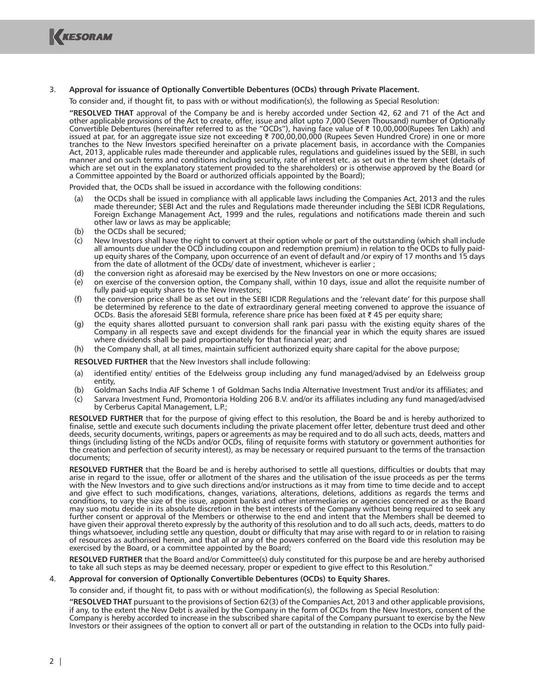

## 3. **Approval for issuance of Optionally Convertible Debentures (OCDs) through Private Placement.**

To consider and, if thought fit, to pass with or without modification(s), the following as Special Resolution:

 **"RESOLVED THAT** approval of the Company be and is hereby accorded under Section 42, 62 and 71 of the Act and other applicable provisions of the Act to create, offer, issue and allot upto 7,000 (Seven Thousand) number of Optionally Convertible Debentures (hereinafter referred to as the "OCDs"), having face value of ₹ 10,00,000(Rupees Ten Lakh) and issued at par, for an aggregate issue size not exceeding ₹ 700,00,00,000 (Rupees Seven Hundred Crore) in one or more tranches to the New Investors specified hereinafter on a private placement basis, in accordance with the Companies Act, 2013, applicable rules made thereunder and applicable rules, regulations and guidelines issued by the SEBI, in such manner and on such terms and conditions including security, rate of interest etc. as set out in the term sheet (details of which are set out in the explanatory statement provided to the shareholders) or is otherwise approved by the Board (or a Committee appointed by the Board or authorized officials appointed by the Board);

Provided that, the OCDs shall be issued in accordance with the following conditions:

- (a) the OCDs shall be issued in compliance with all applicable laws including the Companies Act, 2013 and the rules made thereunder; SEBI Act and the rules and Regulations made thereunder including the SEBI ICDR Regulations, Foreign Exchange Management Act, 1999 and the rules, regulations and notifications made therein and such other law or laws as may be applicable;
- (b) the OCDs shall be secured;
- (c) New Investors shall have the right to convert at their option whole or part of the outstanding (which shall include all amounts due under the OCD including coupon and redemption premium) in relation to the OCDs to fully paidup equity shares of the Company, upon occurrence of an event of default and /or expiry of 17 months and 15 days from the date of allotment of the OCDs/ date of investment, whichever is earlier ;
- (d) the conversion right as aforesaid may be exercised by the New Investors on one or more occasions;
- (e) on exercise of the conversion option, the Company shall, within 10 days, issue and allot the requisite number of fully paid-up equity shares to the New Investors;
- (f) the conversion price shall be as set out in the SEBI ICDR Regulations and the 'relevant date' for this purpose shall be determined by reference to the date of extraordinary general meeting convened to approve the issuance of OCDs. Basis the aforesaid SEBI formula, reference share price has been fixed at  $\bar{\tau}$  45 per equity share;
- (g) the equity shares allotted pursuant to conversion shall rank pari passu with the existing equity shares of the Company in all respects save and except dividends for the financial year in which the equity shares are issued where dividends shall be paid proportionately for that financial year; and
- (h) the Company shall, at all times, maintain sufficient authorized equity share capital for the above purpose;

**RESOLVED FURTHER** that the New Investors shall include following:

- (a) identified entity/ entities of the Edelweiss group including any fund managed/advised by an Edelweiss group entity,
- (b) Goldman Sachs India AIF Scheme 1 of Goldman Sachs India Alternative Investment Trust and/or its affiliates; and
- (c) Sarvara Investment Fund, Promontoria Holding 206 B.V. and/or its affiliates including any fund managed/advised by Cerberus Capital Management, L.P.;

**RESOLVED FURTHER** that for the purpose of giving effect to this resolution, the Board be and is hereby authorized to finalise, settle and execute such documents including the private placement offer letter, debenture trust deed and other deeds, security documents, writings, papers or agreements as may be required and to do all such acts, deeds, matters and things (including listing of the NCDs and/or OCDs, filing of requisite forms with statutory or government authorities for the creation and perfection of security interest), as may be necessary or required pursuant to the terms of the transaction documents;

**RESOLVED FURTHER** that the Board be and is hereby authorised to settle all questions, difficulties or doubts that may arise in regard to the issue, offer or allotment of the shares and the utilisation of the issue proceeds as per the terms with the New Investors and to give such directions and/or instructions as it may from time to time decide and to accept and give effect to such modifications, changes, variations, alterations, deletions, additions as regards the terms and conditions, to vary the size of the issue, appoint banks and other intermediaries or agencies concerned or as the Board may suo motu decide in its absolute discretion in the best interests of the Company without being required to seek any further consent or approval of the Members or otherwise to the end and intent that the Members shall be deemed to have given their approval thereto expressly by the authority of this resolution and to do all such acts, deeds, matters to do things whatsoever, including settle any question, doubt or difficulty that may arise with regard to or in relation to raising of resources as authorised herein, and that all or any of the powers conferred on the Board vide this resolution may be exercised by the Board, or a committee appointed by the Board;

 **RESOLVED FURTHER** that the Board and/or Committee(s) duly constituted for this purpose be and are hereby authorised to take all such steps as may be deemed necessary, proper or expedient to give effect to this Resolution."

#### 4. **Approval for conversion of Optionally Convertible Debentures (OCDs) to Equity Shares.**

To consider and, if thought fit, to pass with or without modification(s), the following as Special Resolution:

 **"RESOLVED THAT** pursuant to the provisions of Section 62(3) of the Companies Act, 2013 and other applicable provisions, if any, to the extent the New Debt is availed by the Company in the form of OCDs from the New Investors, consent of the Company is hereby accorded to increase in the subscribed share capital of the Company pursuant to exercise by the New Investors or their assignees of the option to convert all or part of the outstanding in relation to the OCDs into fully paid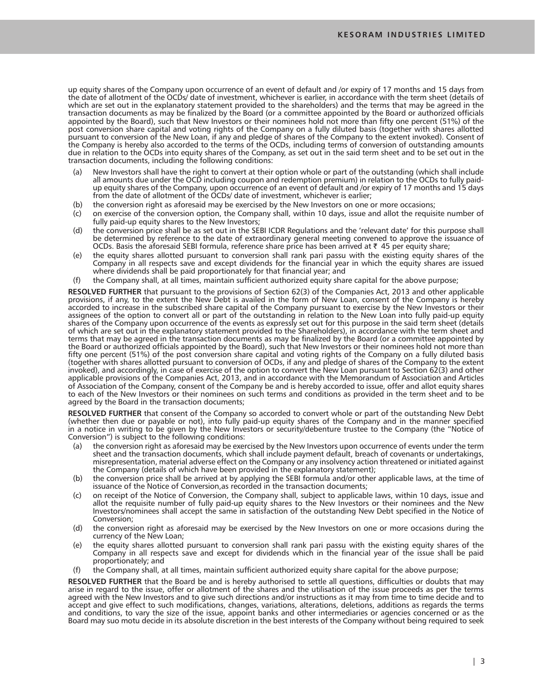up equity shares of the Company upon occurrence of an event of default and /or expiry of 17 months and 15 days from the date of allotment of the OCDs/ date of investment, whichever is earlier, in accordance with the term sheet (details of which are set out in the explanatory statement provided to the shareholders) and the terms that may be agreed in the transaction documents as may be finalized by the Board (or a committee appointed by the Board or authorized officials appointed by the Board), such that New Investors or their nominees hold not more than fifty one percent (51%) of the post conversion share capital and voting rights of the Company on a fully diluted basis (together with shares allotted pursuant to conversion of the New Loan, if any and pledge of shares of the Company to the extent invoked). Consent of the Company is hereby also accorded to the terms of the OCDs, including terms of conversion of outstanding amounts due in relation to the OCDs into equity shares of the Company, as set out in the said term sheet and to be set out in the transaction documents, including the following conditions:

- New Investors shall have the right to convert at their option whole or part of the outstanding (which shall include all amounts due under the OCD including coupon and redemption premium) in relation to the OCDs to fully paidup equity shares of the Company, upon occurrence of an event of default and /or expiry of 17 months and 15 days from the date of allotment of the OCDs/ date of investment, whichever is earlier;
- (b) the conversion right as aforesaid may be exercised by the New Investors on one or more occasions;
- (c) on exercise of the conversion option, the Company shall, within 10 days, issue and allot the requisite number of fully paid-up equity shares to the New Investors;
- (d) the conversion price shall be as set out in the SEBI ICDR Regulations and the 'relevant date' for this purpose shall be determined by reference to the date of extraordinary general meeting convened to approve the issuance of OCDs. Basis the aforesaid SEBI formula, reference share price has been arrived at  $\bar{\tau}$  45 per equity share;
- (e) the equity shares allotted pursuant to conversion shall rank pari passu with the existing equity shares of the Company in all respects save and except dividends for the financial year in which the equity shares are issued where dividends shall be paid proportionately for that financial year; and
- (f) the Company shall, at all times, maintain sufficient authorized equity share capital for the above purpose;

 **RESOLVED FURTHER** that pursuant to the provisions of Section 62(3) of the Companies Act, 2013 and other applicable provisions, if any, to the extent the New Debt is availed in the form of New Loan, consent of the Company is hereby accorded to increase in the subscribed share capital of the Company pursuant to exercise by the New Investors or their assignees of the option to convert all or part of the outstanding in relation to the New Loan into fully paid-up equity shares of the Company upon occurrence of the events as expressly set out for this purpose in the said term sheet (details of which are set out in the explanatory statement provided to the Shareholders), in accordance with the term sheet and terms that may be agreed in the transaction documents as may be finalized by the Board (or a committee appointed by the Board or authorized officials appointed by the Board), such that New Investors or their nominees hold not more than fifty one percent (51%) of the post conversion share capital and voting rights of the Company on a fully diluted basis (together with shares allotted pursuant to conversion of OCDs, if any and pledge of shares of the Company to the extent invoked), and accordingly, in case of exercise of the option to convert the New Loan pursuant to Section 62(3) and other applicable provisions of the Companies Act, 2013, and in accordance with the Memorandum of Association and Articles of Association of the Company, consent of the Company be and is hereby accorded to issue, offer and allot equity shares to each of the New Investors or their nominees on such terms and conditions as provided in the term sheet and to be agreed by the Board in the transaction documents;

 **RESOLVED FURTHER** that consent of the Company so accorded to convert whole or part of the outstanding New Debt (whether then due or payable or not), into fully paid-up equity shares of the Company and in the manner specified in a notice in writing to be given by the New Investors or security/debenture trustee to the Company (the "Notice of Conversion") is subject to the following conditions:

- the conversion right as aforesaid may be exercised by the New Investors upon occurrence of events under the term sheet and the transaction documents, which shall include payment default, breach of covenants or undertakings, misrepresentation, material adverse effect on the Company or any insolvency action threatened or initiated against the Company (details of which have been provided in the explanatory statement);
- (b) the conversion price shall be arrived at by applying the SEBI formula and/or other applicable laws, at the time of issuance of the Notice of Conversion,as recorded in the transaction documents;
- (c) on receipt of the Notice of Conversion, the Company shall, subject to applicable laws, within 10 days, issue and allot the requisite number of fully paid-up equity shares to the New Investors or their nominees and the New Investors/nominees shall accept the same in satisfaction of the outstanding New Debt specified in the Notice of Conversion;
- (d) the conversion right as aforesaid may be exercised by the New Investors on one or more occasions during the currency of the New Loan;
- (e) the equity shares allotted pursuant to conversion shall rank pari passu with the existing equity shares of the Company in all respects save and except for dividends which in the financial year of the issue shall be paid proportionately; and
- (f) the Company shall, at all times, maintain sufficient authorized equity share capital for the above purpose;

 **RESOLVED FURTHER** that the Board be and is hereby authorised to settle all questions, difficulties or doubts that may arise in regard to the issue, offer or allotment of the shares and the utilisation of the issue proceeds as per the terms agreed with the New Investors and to give such directions and/or instructions as it may from time to time decide and to accept and give effect to such modifications, changes, variations, alterations, deletions, additions as regards the terms and conditions, to vary the size of the issue, appoint banks and other intermediaries or agencies concerned or as the Board may suo motu decide in its absolute discretion in the best interests of the Company without being required to seek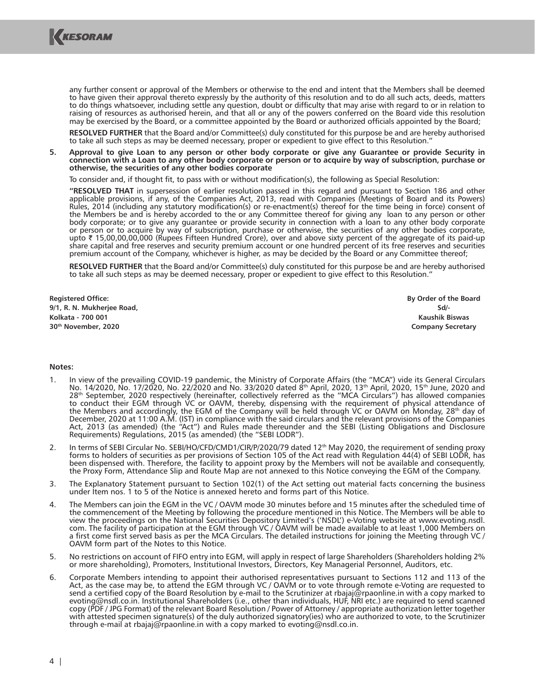

any further consent or approval of the Members or otherwise to the end and intent that the Members shall be deemed to have given their approval thereto expressly by the authority of this resolution and to do all such acts, deeds, matters to do things whatsoever, including settle any question, doubt or difficulty that may arise with regard to or in relation to raising of resources as authorised herein, and that all or any of the powers conferred on the Board vide this resolution may be exercised by the Board, or a committee appointed by the Board or authorized officials appointed by the Board;

 **RESOLVED FURTHER** that the Board and/or Committee(s) duly constituted for this purpose be and are hereby authorised to take all such steps as may be deemed necessary, proper or expedient to give effect to this Resolution."

**5. Approval to give Loan to any person or other body corporate or give any Guarantee or provide Security in connection with a Loan to any other body corporate or person or to acquire by way of subscription, purchase or otherwise, the securities of any other bodies corporate**

To consider and, if thought fit, to pass with or without modification(s), the following as Special Resolution:

 **"RESOLVED THAT** in supersession of earlier resolution passed in this regard and pursuant to Section 186 and other applicable provisions, if any, of the Companies Act, 2013, read with Companies (Meetings of Board and its Powers) Rules, 2014 (including any statutory modification(s) or re-enactment(s) thereof for the time being in force) consent of the Members be and is hereby accorded to the or any Committee thereof for giving any loan to any person or other body corporate; or to give any guarantee or provide security in connection with a loan to any other body corporate or person or to acquire by way of subscription, purchase or otherwise, the securities of any other bodies corporate,<br>upto ₹ 15,00,00,00,000 (Rupees Fifteen Hundred Crore), over and above sixty percent of the aggregate of share capital and free reserves and security premium account or one hundred percent of its free reserves and securities premium account of the Company, whichever is higher, as may be decided by the Board or any Committee thereof;

 **RESOLVED FURTHER** that the Board and/or Committee(s) duly constituted for this purpose be and are hereby authorised to take all such steps as may be deemed necessary, proper or expedient to give effect to this Resolution."

**Registered Office: 9/1, R. N. Mukherjee Road, Kolkata - 700 001 30th November, 2020**

**By Order of the Board Sd/- Kaushik Biswas Company Secretary**

#### **Notes:**

- 1. In view of the prevailing COVID-19 pandemic, the Ministry of Corporate Affairs (the "MCA") vide its General Circulars No. 14/2020, No. 17/2020, No. 22/2020 and No. 33/2020 dated 8th April, 2020, 13th April, 2020, 15th June, 2020 and 28th September, 2020 respectively (hereinafter, collectively referred as the "MCA Circulars") has allowed companies to conduct their EGM through VC or OAVM, thereby, dispensing with the requirement of physical attendance of the Members and accordingly, the EGM of the Company will be held through VC or OAVM on Monday, 28th day of December, 2020 at 11:00 A.M. (IST) in compliance with the said circulars and the relevant provisions of the Companies Act, 2013 (as amended) (the "Act") and Rules made thereunder and the SEBI (Listing Obligations and Disclosure Requirements) Regulations, 2015 (as amended) (the "SEBI LODR").
- 2. In terms of SEBI Circular No. SEBI/HO/CFD/CMD1/CIR/P/2020/79 dated 12<sup>th</sup> May 2020, the requirement of sending proxy forms to holders of securities as per provisions of Section 105 of the Act read with Regulation 44(4) of SEBI LODR, has been dispensed with. Therefore, the facility to appoint proxy by the Members will not be available and consequently, the Proxy Form, Attendance Slip and Route Map are not annexed to this Notice conveying the EGM of the Company.
- 3. The Explanatory Statement pursuant to Section 102(1) of the Act setting out material facts concerning the business under Item nos. 1 to 5 of the Notice is annexed hereto and forms part of this Notice.
- 4. The Members can join the EGM in the VC / OAVM mode 30 minutes before and 15 minutes after the scheduled time of the commencement of the Meeting by following the procedure mentioned in this Notice. The Members will be able to view the proceedings on the National Securities Depository Limited's ('NSDL') e-Voting website at www.evoting.nsdl. com. The facility of participation at the EGM through VC / OAVM will be made available to at least 1,000 Members on a first come first served basis as per the MCA Circulars. The detailed instructions for joining the Meeting through VC / OAVM form part of the Notes to this Notice.
- 5. No restrictions on account of FIFO entry into EGM, will apply in respect of large Shareholders (Shareholders holding 2% or more shareholding), Promoters, Institutional Investors, Directors, Key Managerial Personnel, Auditors, etc.
- 6. Corporate Members intending to appoint their authorised representatives pursuant to Sections 112 and 113 of the Act, as the case may be, to attend the EGM through VC / OAVM or to vote through remote e-Voting are requested to send a certified copy of the Board Resolution by e-mail to the Scrutinizer at rbajaj@rpaonline.in with a copy marked to evoting@nsdl.co.in. Institutional Shareholders (i.e., other than individuals, HUF, NRI etc.) are required to send scanned copy (PDF / JPG Format) of the relevant Board Resolution / Power of Attorney / appropriate authorization letter together with attested specimen signature(s) of the duly authorized signatory(ies) who are authorized to vote, to the Scrutinizer through e-mail at rbajaj@rpaonline.in with a copy marked to evoting@nsdl.co.in.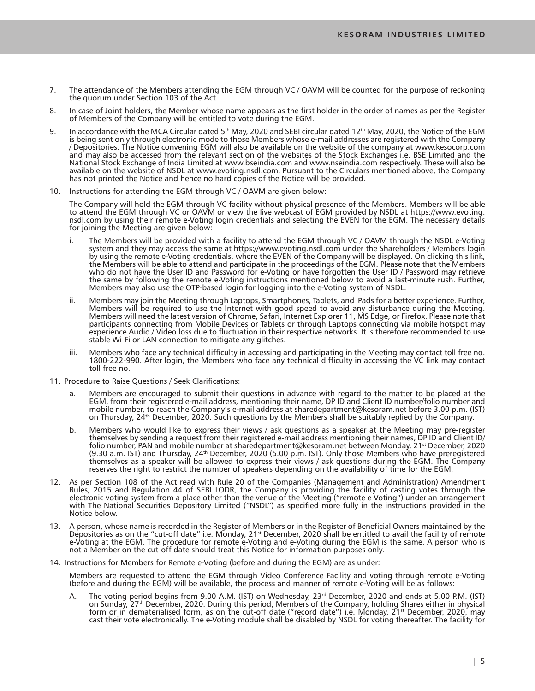- 7. The attendance of the Members attending the EGM through VC / OAVM will be counted for the purpose of reckoning the quorum under Section 103 of the Act.
- 8. In case of Joint-holders, the Member whose name appears as the first holder in the order of names as per the Register of Members of the Company will be entitled to vote during the EGM.
- 9. In accordance with the MCA Circular dated  $5<sup>th</sup>$  May, 2020 and SEBI circular dated 12<sup>th</sup> May, 2020, the Notice of the EGM is being sent only through electronic mode to those Members whose e-mail addresses are registered with the Company / Depositories. The Notice convening EGM will also be available on the website of the company at www.kesocorp.com and may also be accessed from the relevant section of the websites of the Stock Exchanges i.e. BSE Limited and the National Stock Exchange of India Limited at www.bseindia.com and www.nseindia.com respectively. These will also be available on the website of NSDL at www.evoting.nsdl.com. Pursuant to the Circulars mentioned above, the Company has not printed the Notice and hence no hard copies of the Notice will be provided.
- 10. Instructions for attending the EGM through VC / OAVM are given below:

 The Company will hold the EGM through VC facility without physical presence of the Members. Members will be able to attend the EGM through VC or OAVM or view the live webcast of EGM provided by NSDL at https://www.evoting. nsdl.com by using their remote e-Voting login credentials and selecting the EVEN for the EGM. The necessary details for joining the Meeting are given below:

- i. The Members will be provided with a facility to attend the EGM through VC / OAVM through the NSDL e-Voting system and they may access the same at https://www.evoting.nsdl.com under the Shareholders / Members login by using the remote e-Voting credentials, where the EVEN of the Company will be displayed. On clicking this link, the Members will be able to attend and participate in the proceedings of the EGM. Please note that the Members who do not have the User ID and Password for e-Voting or have forgotten the User ID / Password may retrieve the same by following the remote e-Voting instructions mentioned below to avoid a last-minute rush. Further, Members may also use the OTP-based login for logging into the e-Voting system of NSDL.
- ii. Members may join the Meeting through Laptops, Smartphones, Tablets, and iPads for a better experience. Further, Members will be required to use the Internet with good speed to avoid any disturbance during the Meeting. Members will need the latest version of Chrome, Safari, Internet Explorer 11, MS Edge, or Firefox. Please note that participants connecting from Mobile Devices or Tablets or through Laptops connecting via mobile hotspot may experience Audio / Video loss due to fluctuation in their respective networks. It is therefore recommended to use stable Wi-Fi or LAN connection to mitigate any glitches.
- iii. Members who face any technical difficulty in accessing and participating in the Meeting may contact toll free no. 1800-222-990. After login, the Members who face any technical difficulty in accessing the VC link may contact toll free no.
- 11. Procedure to Raise Questions / Seek Clarifications:
	- Members are encouraged to submit their questions in advance with regard to the matter to be placed at the EGM, from their registered e-mail address, mentioning their name, DP ID and Client ID number/folio number and mobile number, to reach the Company's e-mail address at sharedepartment@kesoram.net before 3.00 p.m. (IST) on Thursday, 24th December, 2020. Such questions by the Members shall be suitably replied by the Company.
	- b. Members who would like to express their views / ask questions as a speaker at the Meeting may pre-register themselves by sending a request from their registered e-mail address mentioning their names, DP ID and Client ID/ folio number, PAN and mobile number at sharedepartment@kesoram.net between Monday, 21st December, 2020 (9.30 a.m. IST) and Thursday, 24th December, 2020 (5.00 p.m. IST). Only those Members who have preregistered themselves as a speaker will be allowed to express their views / ask questions during the EGM. The Company reserves the right to restrict the number of speakers depending on the availability of time for the EGM.
- 12. As per Section 108 of the Act read with Rule 20 of the Companies (Management and Administration) Amendment Rules, 2015 and Regulation 44 of SEBI LODR, the Company is providing the facility of casting votes through the electronic voting system from a place other than the venue of the Meeting ("remote e-Voting") under an arrangement with The National Securities Depository Limited ("NSDL") as specified more fully in the instructions provided in the Notice below.
- 13. A person, whose name is recorded in the Register of Members or in the Register of Beneficial Owners maintained by the Depositories as on the "cut-off date" i.e. Monday, 21st December, 2020 shall be entitled to avail the facility of remote e-Voting at the EGM. The procedure for remote e-Voting and e-Voting during the EGM is the same. A person who is not a Member on the cut-off date should treat this Notice for information purposes only.
- 14. Instructions for Members for Remote e-Voting (before and during the EGM) are as under:

 Members are requested to attend the EGM through Video Conference Facility and voting through remote e-Voting (before and during the EGM) will be available, the process and manner of remote e-Voting will be as follows:

The voting period begins from 9.00 A.M. (IST) on Wednesday, 23<sup>rd</sup> December, 2020 and ends at 5.00 P.M. (IST) on Sunday, 27th December, 2020. During this period, Members of the Company, holding Shares either in physical form or in dematerialised form, as on the cut-off date ("record date") i.e. Monday, 21st December, 2020, may cast their vote electronically. The e-Voting module shall be disabled by NSDL for voting thereafter. The facility for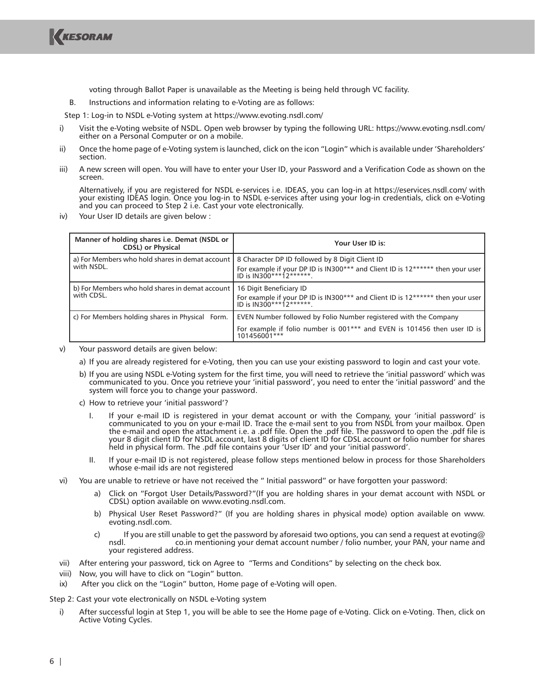

voting through Ballot Paper is unavailable as the Meeting is being held through VC facility.

B. Instructions and information relating to e-Voting are as follows:

Step 1: Log-in to NSDL e-Voting system at https://www.evoting.nsdl.com/

- i) Visit the e-Voting website of NSDL. Open web browser by typing the following URL: https://www.evoting.nsdl.com/ either on a Personal Computer or on a mobile.
- ii) Once the home page of e-Voting system is launched, click on the icon "Login" which is available under 'Shareholders' section.
- iii) A new screen will open. You will have to enter your User ID, your Password and a Verification Code as shown on the screen.

 Alternatively, if you are registered for NSDL e-services i.e. IDEAS, you can log-in at https://eservices.nsdl.com/ with your existing IDEAS login. Once you log-in to NSDL e-services after using your log-in credentials, click on e-Voting and you can proceed to Step 2 i.e. Cast your vote electronically.

iv) Your User ID details are given below :

| Manner of holding shares i.e. Demat (NSDL or<br><b>CDSL</b> ) or Physical | Your User ID is:                                                                                                                                             |
|---------------------------------------------------------------------------|--------------------------------------------------------------------------------------------------------------------------------------------------------------|
| a) For Members who hold shares in demat account                           | 8 Character DP ID followed by 8 Digit Client ID                                                                                                              |
| with NSDL.                                                                | <sup>1</sup> For example if your DP ID is IN300*** and Client ID is 12****** then your user  <br> D is IN300***12******.                                     |
| b) For Members who hold shares in demat account                           | 16 Digit Beneficiary ID                                                                                                                                      |
| with CDSL.                                                                | <sup>1</sup> For example if your DP ID is IN300*** and Client ID is 12****** then your user  <br> D is IN300***12******.                                     |
| c) For Members holding shares in Physical Form.                           | EVEN Number followed by Folio Number registered with the Company<br>For example if folio number is 001*** and EVEN is 101456 then user ID is<br>101456001*** |

v) Your password details are given below:

- a) If you are already registered for e-Voting, then you can use your existing password to login and cast your vote.
- b) If you are using NSDL e-Voting system for the first time, you will need to retrieve the 'initial password' which was communicated to you. Once you retrieve your 'initial password', you need to enter the 'initial password' and the system will force you to change your password.
- c) How to retrieve your 'initial password'?
	- I. If your e-mail ID is registered in your demat account or with the Company, your 'initial password' is communicated to you on your e-mail ID. Trace the e-mail sent to you from NSDL from your mailbox. Open the e-mail and open the attachment i.e. a .pdf file. Open the .pdf file. The password to open the .pdf file is your 8 digit client ID for NSDL account, last 8 digits of client ID for CDSL account or folio number for shares held in physical form. The .pdf file contains your 'User ID' and your 'initial password'.
	- II. If your e-mail ID is not registered, please follow steps mentioned below in process for those Shareholders whose e-mail ids are not registered
- vi) You are unable to retrieve or have not received the " Initial password" or have forgotten your password:
	- a) Click on "Forgot User Details/Password?"(If you are holding shares in your demat account with NSDL or CDSL) option available on www.evoting.nsdl.com.
	- b) Physical User Reset Password?" (If you are holding shares in physical mode) option available on www. evoting.nsdl.com.
	- c) If you are still unable to get the password by aforesaid two options, you can send a request at evoting@ co.in mentioning your demat account number / folio number, your PAN, your name and your registered address.
- vii) After entering your password, tick on Agree to "Terms and Conditions" by selecting on the check box.
- viii) Now, you will have to click on "Login" button.
- ix) After you click on the "Login" button, Home page of e-Voting will open.

Step 2: Cast your vote electronically on NSDL e-Voting system

i) After successful login at Step 1, you will be able to see the Home page of e-Voting. Click on e-Voting. Then, click on Active Voting Cycles.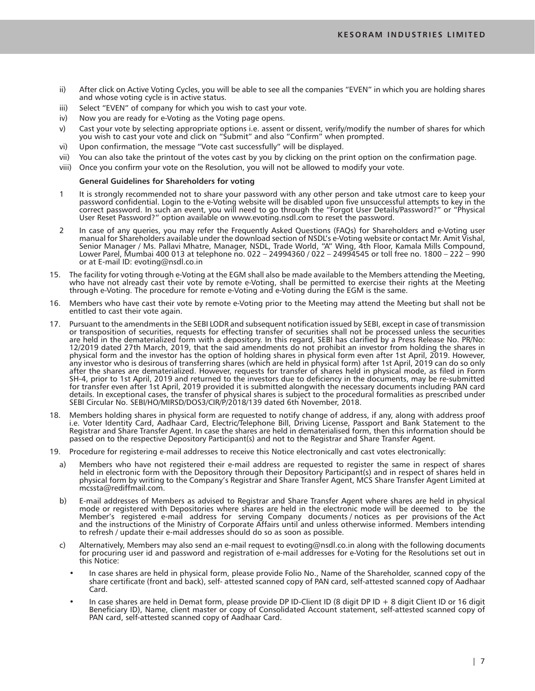- ii) After click on Active Voting Cycles, you will be able to see all the companies "EVEN" in which you are holding shares and whose voting cycle is in active status.
- iii) Select "EVEN" of company for which you wish to cast your vote.
- iv) Now you are ready for e-Voting as the Voting page opens.
- v) Cast your vote by selecting appropriate options i.e. assent or dissent, verify/modify the number of shares for which you wish to cast your vote and click on "Submit" and also "Confirm" when prompted.
- vi) Upon confirmation, the message "Vote cast successfully" will be displayed.
- vii) You can also take the printout of the votes cast by you by clicking on the print option on the confirmation page.
- viii) Once you confirm your vote on the Resolution, you will not be allowed to modify your vote.

#### **General Guidelines for Shareholders for voting**

- 1 It is strongly recommended not to share your password with any other person and take utmost care to keep your password confidential. Login to the e-Voting website will be disabled upon five unsuccessful attempts to key in the correct password. In such an event, you will need to go through the "Forgot User Details/Password?" or "Physical User Reset Password?" option available on www.evoting.nsdl.com to reset the password.
- 2 In case of any queries, you may refer the Frequently Asked Questions (FAQs) for Shareholders and e-Voting user manual for Shareholders available under the download section of NSDL's e-Voting website or contact Mr. Amit Vishal, Senior Manager / Ms. Pallavi Mhatre, Manager, NSDL, Trade World, "A" Wing, 4th Floor, Kamala Mills Compound, Lower Parel, Mumbai 400 013 at telephone no. 022 – 24994360 / 022 – 24994545 or toll free no. 1800 – 222 – 990 or at E-mail ID: evoting@nsdl.co.in
- 15. The facility for voting through e-Voting at the EGM shall also be made available to the Members attending the Meeting, who have not already cast their vote by remote e-Voting, shall be permitted to exercise their rights at the Meeting through e-Voting. The procedure for remote e-Voting and e-Voting during the EGM is the same.
- 16. Members who have cast their vote by remote e-Voting prior to the Meeting may attend the Meeting but shall not be entitled to cast their vote again.
- 17. Pursuant to the amendments in the SEBI LODR and subsequent notification issued by SEBI, except in case of transmission or transposition of securities, requests for effecting transfer of securities shall not be processed unless the securities are held in the dematerialized form with a depository. In this regard, SEBI has clarified by a Press Release No. PR/No: 12/2019 dated 27th March, 2019, that the said amendments do not prohibit an investor from holding the shares in physical form and the investor has the option of holding shares in physical form even after 1st April, 2019. However, any investor who is desirous of transferring shares (which are held in physical form) after 1st April, 2019 can do so only after the shares are dematerialized. However, requests for transfer of shares held in physical mode, as filed in Form SH-4, prior to 1st April, 2019 and returned to the investors due to deficiency in the documents, may be re-submitted for transfer even after 1st April, 2019 provided it is submitted alongwith the necessary documents including PAN card details. In exceptional cases, the transfer of physical shares is subject to the procedural formalities as prescribed under SEBI Circular No. SEBI/HO/MIRSD/DOS3/CIR/P/2018/139 dated 6th November, 2018.
- 18. Members holding shares in physical form are requested to notify change of address, if any, along with address proof i.e. Voter Identity Card, Aadhaar Card, Electric/Telephone Bill, Driving License, Passport and Bank Statement to the Registrar and Share Transfer Agent. In case the shares are held in dematerialised form, then this information should be passed on to the respective Depository Participant(s) and not to the Registrar and Share Transfer Agent.
- 19. Procedure for registering e-mail addresses to receive this Notice electronically and cast votes electronically:
	- a) Members who have not registered their e-mail address are requested to register the same in respect of shares held in electronic form with the Depository through their Depository Participant(s) and in respect of shares held in physical form by writing to the Company's Registrar and Share Transfer Agent, MCS Share Transfer Agent Limited at mcssta@rediffmail.com.
	- b) E-mail addresses of Members as advised to Registrar and Share Transfer Agent where shares are held in physical mode or registered with Depositories where shares are held in the electronic mode will be deemed to be the Member's registered e-mail address for serving Company documents / notices as per provisions of the Act and the instructions of the Ministry of Corporate Affairs until and unless otherwise informed. Members intending to refresh / update their e-mail addresses should do so as soon as possible.
	- c) Alternatively, Members may also send an e-mail request to evoting@nsdl.co.in along with the following documents for procuring user id and password and registration of e-mail addresses for e-Voting for the Resolutions set out in this Notice:
		- In case shares are held in physical form, please provide Folio No., Name of the Shareholder, scanned copy of the share certificate (front and back), self- attested scanned copy of PAN card, self-attested scanned copy of Aadhaar Card.
		- In case shares are held in Demat form, please provide DP ID-Client ID (8 digit DP ID + 8 digit Client ID or 16 digit Beneficiary ID), Name, client master or copy of Consolidated Account statement, self-attested scanned copy of PAN card, self-attested scanned copy of Aadhaar Card.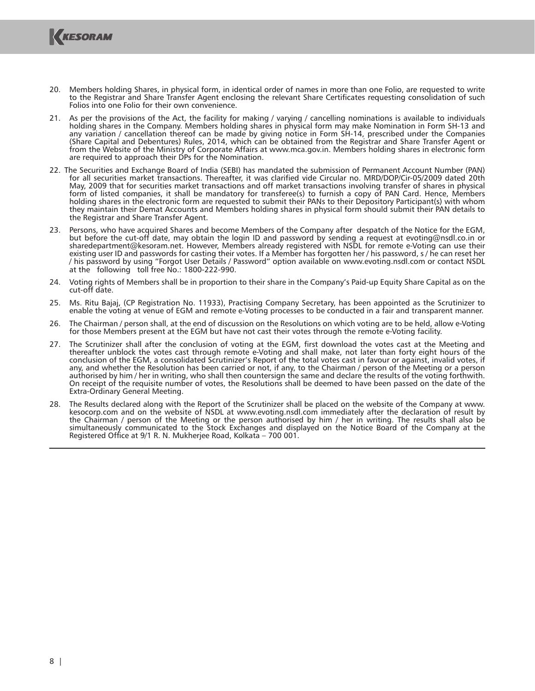

- 20. Members holding Shares, in physical form, in identical order of names in more than one Folio, are requested to write to the Registrar and Share Transfer Agent enclosing the relevant Share Certificates requesting consolidation of such Folios into one Folio for their own convenience.
- 21. As per the provisions of the Act, the facility for making / varying / cancelling nominations is available to individuals holding shares in the Company. Members holding shares in physical form may make Nomination in Form SH-13 and any variation / cancellation thereof can be made by giving notice in Form SH-14, prescribed under the Companies (Share Capital and Debentures) Rules, 2014, which can be obtained from the Registrar and Share Transfer Agent or from the Website of the Ministry of Corporate Affairs at www.mca.gov.in. Members holding shares in electronic form are required to approach their DPs for the Nomination.
- 22. The Securities and Exchange Board of India (SEBI) has mandated the submission of Permanent Account Number (PAN) for all securities market transactions. Thereafter, it was clarified vide Circular no. MRD/DOP/Cir-05/2009 dated 20th May, 2009 that for securities market transactions and off market transactions involving transfer of shares in physical form of listed companies, it shall be mandatory for transferee(s) to furnish a copy of PAN Card. Hence, Members holding shares in the electronic form are requested to submit their PANs to their Depository Participant(s) with whom they maintain their Demat Accounts and Members holding shares in physical form should submit their PAN details to the Registrar and Share Transfer Agent.
- 23. Persons, who have acquired Shares and become Members of the Company after despatch of the Notice for the EGM, but before the cut-off date, may obtain the login ID and password by sending a request at evoting@nsdl.co.in or sharedepartment@kesoram.net. However, Members already registered with NSDL for remote e-Voting can use their existing user ID and passwords for casting their votes. If a Member has forgotten her / his password, s / he can reset her / his password by using "Forgot User Details / Password" option available on www.evoting.nsdl.com or contact NSDL at the following toll free No.: 1800-222-990.
- 24. Voting rights of Members shall be in proportion to their share in the Company's Paid-up Equity Share Capital as on the cut-off date.
- 25. Ms. Ritu Bajaj, (CP Registration No. 11933), Practising Company Secretary, has been appointed as the Scrutinizer to enable the voting at venue of EGM and remote e-Voting processes to be conducted in a fair and transparent manner.
- 26. The Chairman / person shall, at the end of discussion on the Resolutions on which voting are to be held, allow e-Voting for those Members present at the EGM but have not cast their votes through the remote e-Voting facility.
- 27. The Scrutinizer shall after the conclusion of voting at the EGM, first download the votes cast at the Meeting and thereafter unblock the votes cast through remote e-Voting and shall make, not later than forty eight hours of the conclusion of the EGM, a consolidated Scrutinizer's Report of the total votes cast in favour or against, invalid votes, if any, and whether the Resolution has been carried or not, if any, to the Chairman / person of the Meeting or a person authorised by him / her in writing, who shall then countersign the same and declare the results of the voting forthwith. On receipt of the requisite number of votes, the Resolutions shall be deemed to have been passed on the date of the Extra-Ordinary General Meeting.
- 28. The Results declared along with the Report of the Scrutinizer shall be placed on the website of the Company at www. kesocorp.com and on the website of NSDL at www.evoting.nsdl.com immediately after the declaration of result by the Chairman / person of the Meeting or the person authorised by him / her in writing. The results shall also be simultaneously communicated to the Stock Exchanges and displayed on the Notice Board of the Company at the Registered Office at 9/1 R. N. Mukherjee Road, Kolkata – 700 001.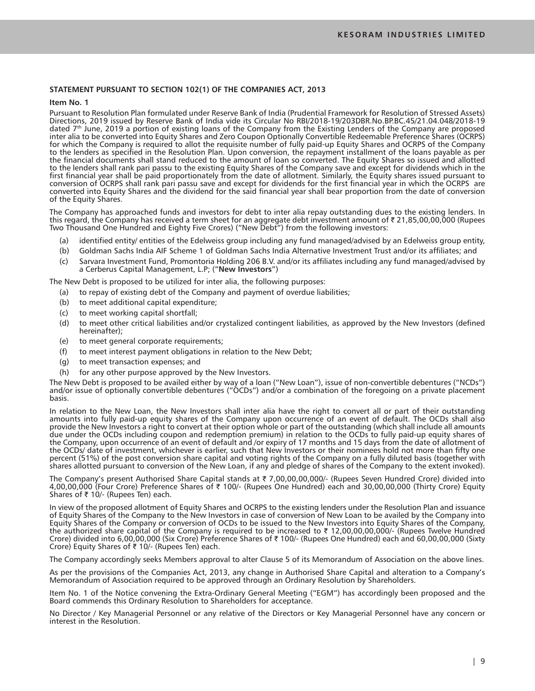## **STATEMENT PURSUANT TO SECTION 102(1) OF THE COMPANIES ACT, 2013**

#### **Item No. 1**

Pursuant to Resolution Plan formulated under Reserve Bank of India (Prudential Framework for Resolution of Stressed Assets) Directions, 2019 issued by Reserve Bank of India vide its Circular No RBI/2018-19/203DBR.No.BP.BC.45/21.04.048/2018-19 dated 7th June, 2019 a portion of existing loans of the Company from the Existing Lenders of the Company are proposed inter alia to be converted into Equity Shares and Zero Coupon Optionally Convertible Redeemable Preference Shares (OCRPS) for which the Company is required to allot the requisite number of fully paid-up Equity Shares and OCRPS of the Company to the lenders as specified in the Resolution Plan. Upon conversion, the repayment installment of the loans payable as per the financial documents shall stand reduced to the amount of loan so converted. The Equity Shares so issued and allotted to the lenders shall rank pari passu to the existing Equity Shares of the Company save and except for dividends which in the first financial year shall be paid proportionately from the date of allotment. Similarly, the Equity shares issued pursuant to conversion of OCRPS shall rank pari passu save and except for dividends for the first financial year in which the OCRPS are converted into Equity Shares and the dividend for the said financial year shall bear proportion from the date of conversion of the Equity Shares.

The Company has approached funds and investors for debt to inter alia repay outstanding dues to the existing lenders. In this regard, the Company has received a term sheet for an aggregate debt investment amount of  $\bar{\tau}$  21,85,00,00,000 (Rupees Two Thousand One Hundred and Eighty Five Crores) ("New Debt") from the following investors:

- (a) identified entity/ entities of the Edelweiss group including any fund managed/advised by an Edelweiss group entity,
- (b) Goldman Sachs India AIF Scheme 1 of Goldman Sachs India Alternative Investment Trust and/or its affiliates; and
- (c) Sarvara Investment Fund, Promontoria Holding 206 B.V. and/or its affiliates including any fund managed/advised by a Cerberus Capital Management, L.P; ("**New Investors**")

The New Debt is proposed to be utilized for inter alia, the following purposes:

- (a) to repay of existing debt of the Company and payment of overdue liabilities;
- (b) to meet additional capital expenditure;
- (c) to meet working capital shortfall;
- (d) to meet other critical liabilities and/or crystalized contingent liabilities, as approved by the New Investors (defined hereinafter);
- (e) to meet general corporate requirements;
- (f) to meet interest payment obligations in relation to the New Debt;
- (g) to meet transaction expenses; and
- (h) for any other purpose approved by the New Investors.

The New Debt is proposed to be availed either by way of a loan ("New Loan"), issue of non-convertible debentures ("NCDs") and/or issue of optionally convertible debentures ("OCDs") and/or a combination of the foregoing on a private placement basis.

In relation to the New Loan, the New Investors shall inter alia have the right to convert all or part of their outstanding amounts into fully paid-up equity shares of the Company upon occurrence of an event of default. The OCDs shall also provide the New Investors a right to convert at their option whole or part of the outstanding (which shall include all amounts due under the OCDs including coupon and redemption premium) in relation to the OCDs to fully paid-up equity shares of the Company, upon occurrence of an event of default and /or expiry of 17 months and 15 days from the date of allotment of the OCDs/ date of investment, whichever is earlier, such that New Investors or their nominees hold not more than fifty one percent (51%) of the post conversion share capital and voting rights of the Company on a fully diluted basis (together with shares allotted pursuant to conversion of the New Loan, if any and pledge of shares of the Company to the extent invoked).

The Company's present Authorised Share Capital stands at  $\bar{\tau}$  7,00,00,00,000/- (Rupees Seven Hundred Crore) divided into 4,00,00,000 (Four Crore) Preference Shares of ₹ 100/- (Rupees One Hundred) each and 30,00,00,000 (Thirty Crore) Equity Shares of  $\bar{\tau}$  10/- (Rupees Ten) each.

In view of the proposed allotment of Equity Shares and OCRPS to the existing lenders under the Resolution Plan and issuance of Equity Shares of the Company to the New Investors in case of conversion of New Loan to be availed by the Company into Equity Shares of the Company or conversion of OCDs to be issued to the New Investors into Equity Shares of the Company, the authorized share capital of the Company is required to be increased to  $\bar{\tau}$  12,00,00,00,000/- (Rupees Twelve Hundred Crore) divided into 6,00,00,000 (Six Crore) Preference Shares of  $\bar{\tau}$  100/- (Rupees One Hundred) each and 60,00,00,000 (Sixty Crore) Equity Shares of  $\overline{\tau}$  10/- (Rupees Ten) each.

The Company accordingly seeks Members approval to alter Clause 5 of its Memorandum of Association on the above lines.

As per the provisions of the Companies Act, 2013, any change in Authorised Share Capital and alteration to a Company's Memorandum of Association required to be approved through an Ordinary Resolution by Shareholders.

Item No. 1 of the Notice convening the Extra-Ordinary General Meeting ("EGM") has accordingly been proposed and the Board commends this Ordinary Resolution to Shareholders for acceptance.

No Director / Key Managerial Personnel or any relative of the Directors or Key Managerial Personnel have any concern or interest in the Resolution.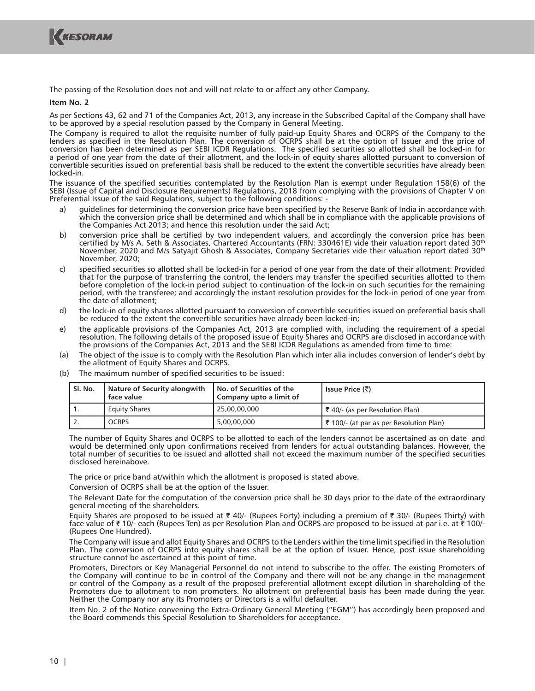

The passing of the Resolution does not and will not relate to or affect any other Company.

**Item No. 2**

As per Sections 43, 62 and 71 of the Companies Act, 2013, any increase in the Subscribed Capital of the Company shall have to be approved by a special resolution passed by the Company in General Meeting.

The Company is required to allot the requisite number of fully paid-up Equity Shares and OCRPS of the Company to the lenders as specified in the Resolution Plan. The conversion of OCRPS shall be at the option of Issuer and the price of conversion has been determined as per SEBI ICDR Regulations. The specified securities so allotted shall be locked-in for a period of one year from the date of their allotment, and the lock-in of equity shares allotted pursuant to conversion of convertible securities issued on preferential basis shall be reduced to the extent the convertible securities have already been locked-in.

The issuance of the specified securities contemplated by the Resolution Plan is exempt under Regulation 158(6) of the SEBI (Issue of Capital and Disclosure Requirements) Regulations, 2018 from complying with the provisions of Chapter V on Preferential Issue of the said Regulations, subject to the following conditions: -

- a) guidelines for determining the conversion price have been specified by the Reserve Bank of India in accordance with which the conversion price shall be determined and which shall be in compliance with the applicable provisions of the Companies Act 2013; and hence this resolution under the said Act;
- b) conversion price shall be certified by two independent valuers, and accordingly the conversion price has been certified by M/s A. Seth & Associates, Chartered Accountants (FRN: 330461E) vide their valuation report dated 30<sup>th</sup> November, 2020 and M/s Satyajit Ghosh & Associates, Company Secretaries vide their valuation report dated 30th November, 2020;
- c) specified securities so allotted shall be locked-in for a period of one year from the date of their allotment: Provided that for the purpose of transferring the control, the lenders may transfer the specified securities allotted to them before completion of the lock-in period subject to continuation of the lock-in on such securities for the remaining period, with the transferee; and accordingly the instant resolution provides for the lock-in period of one year from the date of allotment;
- d) the lock-in of equity shares allotted pursuant to conversion of convertible securities issued on preferential basis shall be reduced to the extent the convertible securities have already been locked-in;
- e) the applicable provisions of the Companies Act, 2013 are complied with, including the requirement of a special resolution. The following details of the proposed issue of Equity Shares and OCRPS are disclosed in accordance with the provisions of the Companies Act, 2013 and the SEBI ICDR Regulations as amended from time to time:
- The object of the issue is to comply with the Resolution Plan which inter alia includes conversion of lender's debt by the allotment of Equity Shares and OCRPS.
- **Sl. No. Nature of Security alongwith face value No. of Securities of the Company upto a limit of Issue Price (₹)** 1. Equity Shares 25,00,00,000 **J** ₹ 40/- (as per Resolution Plan) 2. OCRPS 5,00,00,000  $\frac{1}{3}$  5,00,00,000  $\frac{1}{3}$  100/- (at par as per Resolution Plan)
- (b) The maximum number of specified securities to be issued:

 The number of Equity Shares and OCRPS to be allotted to each of the lenders cannot be ascertained as on date and would be determined only upon confirmations received from lenders for actual outstanding balances. However, the total number of securities to be issued and allotted shall not exceed the maximum number of the specified securities disclosed hereinabove.

The price or price band at/within which the allotment is proposed is stated above.

Conversion of OCRPS shall be at the option of the Issuer.

 The Relevant Date for the computation of the conversion price shall be 30 days prior to the date of the extraordinary general meeting of the shareholders.

Equity Shares are proposed to be issued at  $\bar{\tau}$  40/- (Rupees Forty) including a premium of  $\bar{\tau}$  30/- (Rupees Thirty) with face value of ₹ 10/- each (Rupees Ten) as per Resolution Plan and OCRPS are proposed to be issued at par i.e. at ₹ 100/-(Rupees One Hundred).

 The Company will issue and allot Equity Shares and OCRPS to the Lenders within the time limit specified in the Resolution Plan. The conversion of OCRPS into equity shares shall be at the option of Issuer. Hence, post issue shareholding structure cannot be ascertained at this point of time.

 Promoters, Directors or Key Managerial Personnel do not intend to subscribe to the offer. The existing Promoters of the Company will continue to be in control of the Company and there will not be any change in the management or control of the Company as a result of the proposed preferential allotment except dilution in shareholding of the Promoters due to allotment to non promoters. No allotment on preferential basis has been made during the year. Neither the Company nor any its Promoters or Directors is a wilful defaulter.

 Item No. 2 of the Notice convening the Extra-Ordinary General Meeting ("EGM") has accordingly been proposed and the Board commends this Special Resolution to Shareholders for acceptance.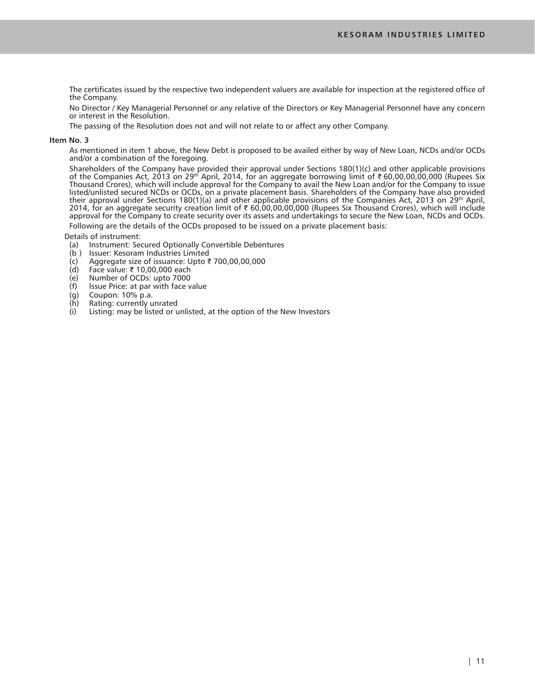The certificates issued by the respective two independent valuers are available for inspection at the registered office of the Company.

 No Director / Key Managerial Personnel or any relative of the Directors or Key Managerial Personnel have any concern or interest in the Resolution.

The passing of the Resolution does not and will not relate to or affect any other Company.

#### **Item No. 3**

 As mentioned in item 1 above, the New Debt is proposed to be availed either by way of New Loan, NCDs and/or OCDs and/or a combination of the foregoing.

 Shareholders of the Company have provided their approval under Sections 180(1)(c) and other applicable provisions of the Companies Act, 2013 on 29<sup>th</sup> April, 2014, for an aggregate borrowing limit of ₹60,00,00,00,000 (Rupees Six Thousand Crores), which will include approval for the Company to avail the New Loan and/or for the Company to issue listed/unlisted secured NCDs or OCDs, on a private placement basis. Shareholders of the Company have also provided their approval under Sections 180(1)(a) and other applicable provisions of the Companies Act, 2013 on 29<sup>th</sup> April, 2014, for an aggregate security creation limit of ₹ 60,00,00,00,000 (Rupees Six Thousand Crores), which will include approval for the Company to create security over its assets and undertakings to secure the New Loan, NCDs and OCDs.

Following are the details of the OCDs proposed to be issued on a private placement basis:

Details of instrument:

- (a) Instrument: Secured Optionally Convertible Debentures
- (b ) Issuer: Kesoram Industries Limited
- (c) Aggregate size of issuance: Upto ₹ 700,00,00,000<br>(d) Face value: ₹ 10,00,000 each
- Face value:  $\bar{\tau}$  10,00,000 each
- (e) Number of OCDs: upto 7000<br>(f) Issue Price: at par with face v
- Issue Price: at par with face value
- (g) Coupon: 10% p.a.
- $(h)$  Rating: currently unrated<br>(i) Listing: may be listed or u
- Listing: may be listed or unlisted, at the option of the New Investors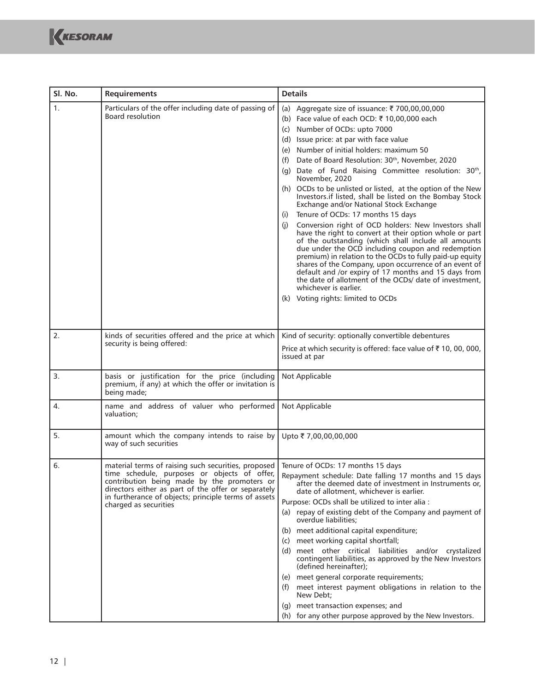| SI. No. | <b>Requirements</b>                                                                                                                                                                                                                                                                        | <b>Details</b>                                                                                                                                                                                                                                                                                                                                                                                                                                                                                                                                                                                                                                                                                                                                                                                                                                                                                                                                                                                                                                                                                                               |  |  |
|---------|--------------------------------------------------------------------------------------------------------------------------------------------------------------------------------------------------------------------------------------------------------------------------------------------|------------------------------------------------------------------------------------------------------------------------------------------------------------------------------------------------------------------------------------------------------------------------------------------------------------------------------------------------------------------------------------------------------------------------------------------------------------------------------------------------------------------------------------------------------------------------------------------------------------------------------------------------------------------------------------------------------------------------------------------------------------------------------------------------------------------------------------------------------------------------------------------------------------------------------------------------------------------------------------------------------------------------------------------------------------------------------------------------------------------------------|--|--|
| 1.      | Particulars of the offer including date of passing of<br><b>Board resolution</b>                                                                                                                                                                                                           | Aggregate size of issuance: ₹ 700,00,00,000<br>(a)<br>(b) Face value of each OCD: ₹ 10,00,000 each<br>(c) Number of OCDs: upto 7000<br>(d) Issue price: at par with face value<br>(e) Number of initial holders: maximum 50<br>Date of Board Resolution: 30th, November, 2020<br>(f)<br>(g) Date of Fund Raising Committee resolution: 30th,<br>November, 2020<br>(h) OCDs to be unlisted or listed, at the option of the New<br>Investors.if listed, shall be listed on the Bombay Stock<br>Exchange and/or National Stock Exchange<br>Tenure of OCDs: 17 months 15 days<br>(i)<br>Conversion right of OCD holders: New Investors shall<br>(i)<br>have the right to convert at their option whole or part<br>of the outstanding (which shall include all amounts<br>due under the OCD including coupon and redemption<br>premium) in relation to the OCDs to fully paid-up equity<br>shares of the Company, upon occurrence of an event of<br>default and /or expiry of 17 months and 15 days from<br>the date of allotment of the OCDs/ date of investment.<br>whichever is earlier.<br>(k) Voting rights: limited to OCDs |  |  |
| 2.      | kinds of securities offered and the price at which<br>security is being offered:                                                                                                                                                                                                           | Kind of security: optionally convertible debentures<br>Price at which security is offered: face value of ₹10,00,000,<br>issued at par                                                                                                                                                                                                                                                                                                                                                                                                                                                                                                                                                                                                                                                                                                                                                                                                                                                                                                                                                                                        |  |  |
| 3.      | basis or justification for the price (including<br>premium, if any) at which the offer or invitation is<br>being made;                                                                                                                                                                     | Not Applicable                                                                                                                                                                                                                                                                                                                                                                                                                                                                                                                                                                                                                                                                                                                                                                                                                                                                                                                                                                                                                                                                                                               |  |  |
| 4.      | name and address of valuer who performed<br>valuation;                                                                                                                                                                                                                                     | Not Applicable                                                                                                                                                                                                                                                                                                                                                                                                                                                                                                                                                                                                                                                                                                                                                                                                                                                                                                                                                                                                                                                                                                               |  |  |
| 5.      | amount which the company intends to raise by<br>way of such securities                                                                                                                                                                                                                     | Upto ₹7,00,00,00,000                                                                                                                                                                                                                                                                                                                                                                                                                                                                                                                                                                                                                                                                                                                                                                                                                                                                                                                                                                                                                                                                                                         |  |  |
| 6.      | material terms of raising such securities, proposed<br>time schedule, purposes or objects of offer,<br>contribution being made by the promoters or<br>directors either as part of the offer or separately<br>in furtherance of objects; principle terms of assets<br>charged as securities | Tenure of OCDs: 17 months 15 days<br>Repayment schedule: Date falling 17 months and 15 days<br>after the deemed date of investment in Instruments or,<br>date of allotment, whichever is earlier.<br>Purpose: OCDs shall be utilized to inter alia :<br>(a) repay of existing debt of the Company and payment of<br>overdue liabilities;<br>(b) meet additional capital expenditure;<br>(c) meet working capital shortfall;<br>(d) meet other critical liabilities and/or crystalized<br>contingent liabilities, as approved by the New Investors<br>(defined hereinafter);<br>(e) meet general corporate requirements;<br>(f) meet interest payment obligations in relation to the<br>New Debt;<br>(g) meet transaction expenses; and<br>(h) for any other purpose approved by the New Investors.                                                                                                                                                                                                                                                                                                                           |  |  |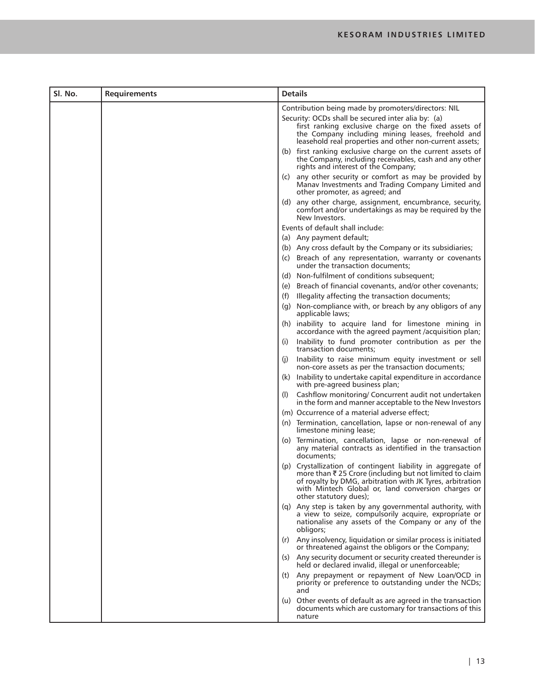| Sl. No. | <b>Requirements</b> | <b>Details</b>                                                                                                                                                                                                                                                      |  |  |
|---------|---------------------|---------------------------------------------------------------------------------------------------------------------------------------------------------------------------------------------------------------------------------------------------------------------|--|--|
|         |                     | Contribution being made by promoters/directors: NIL                                                                                                                                                                                                                 |  |  |
|         |                     | Security: OCDs shall be secured inter alia by: (a)<br>first ranking exclusive charge on the fixed assets of<br>the Company including mining leases, freehold and<br>leasehold real properties and other non-current assets;                                         |  |  |
|         |                     | (b) first ranking exclusive charge on the current assets of<br>the Company, including receivables, cash and any other<br>rights and interest of the Company;                                                                                                        |  |  |
|         |                     | (c) any other security or comfort as may be provided by<br>Manav Investments and Trading Company Limited and<br>other promoter, as agreed; and                                                                                                                      |  |  |
|         |                     | (d) any other charge, assignment, encumbrance, security,<br>comfort and/or undertakings as may be required by the<br>New Investors.                                                                                                                                 |  |  |
|         |                     | Events of default shall include:                                                                                                                                                                                                                                    |  |  |
|         |                     | (a) Any payment default;                                                                                                                                                                                                                                            |  |  |
|         |                     | (b) Any cross default by the Company or its subsidiaries;                                                                                                                                                                                                           |  |  |
|         |                     | (c) Breach of any representation, warranty or covenants<br>under the transaction documents:                                                                                                                                                                         |  |  |
|         |                     | (d) Non-fulfilment of conditions subsequent;                                                                                                                                                                                                                        |  |  |
|         |                     | (e) Breach of financial covenants, and/or other covenants;                                                                                                                                                                                                          |  |  |
|         |                     | Illegality affecting the transaction documents;<br>(f)                                                                                                                                                                                                              |  |  |
|         |                     | (g) Non-compliance with, or breach by any obligors of any<br>applicable laws;                                                                                                                                                                                       |  |  |
|         |                     | (h) inability to acquire land for limestone mining in<br>accordance with the agreed payment /acquisition plan;                                                                                                                                                      |  |  |
|         |                     | Inability to fund promoter contribution as per the<br>(1)<br>transaction documents;                                                                                                                                                                                 |  |  |
|         |                     | Inability to raise minimum equity investment or sell<br>(I)<br>non-core assets as per the transaction documents;                                                                                                                                                    |  |  |
|         |                     | Inability to undertake capital expenditure in accordance<br>(k)<br>with pre-agreed business plan;                                                                                                                                                                   |  |  |
|         |                     | Cashflow monitoring/ Concurrent audit not undertaken<br>(1)<br>in the form and manner acceptable to the New Investors                                                                                                                                               |  |  |
|         |                     | (m) Occurrence of a material adverse effect;                                                                                                                                                                                                                        |  |  |
|         |                     | (n) Termination, cancellation, lapse or non-renewal of any<br>limestone mining lease;                                                                                                                                                                               |  |  |
|         |                     | (o) Termination, cancellation, lapse or non-renewal of<br>any material contracts as identified in the transaction<br>documents;                                                                                                                                     |  |  |
|         |                     | (p) Crystallization of contingent liability in aggregate of<br>more than ₹25 Crore (including but not limited to claim<br>of royalty by DMG, arbitration with JK Tyres, arbitration<br>with Mintech Global or, land conversion charges or<br>other statutory dues); |  |  |
|         |                     | (q) Any step is taken by any governmental authority, with<br>a view to seize, compulsorily acquire, expropriate or<br>nationalise any assets of the Company or any of the<br>obligors;                                                                              |  |  |
|         |                     | Any insolvency, liquidation or similar process is initiated<br>(r)<br>or threatened against the obligors or the Company;                                                                                                                                            |  |  |
|         |                     | Any security document or security created thereunder is<br>(S)<br>held or declared invalid, illegal or unenforceable;                                                                                                                                               |  |  |
|         |                     | Any prepayment or repayment of New Loan/OCD in<br>(t)<br>priority or preference to outstanding under the NCDs;<br>and                                                                                                                                               |  |  |
|         |                     | (u) Other events of default as are agreed in the transaction<br>documents which are customary for transactions of this<br>nature                                                                                                                                    |  |  |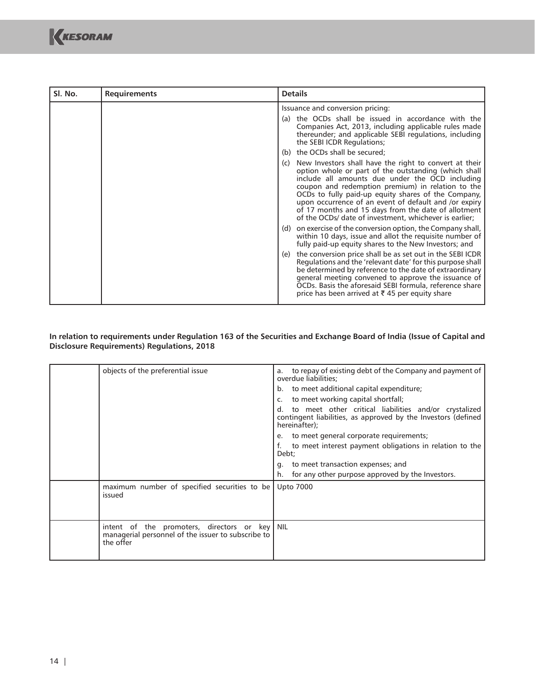| SI. No. | <b>Requirements</b> | <b>Details</b>                                                                                                                                                                                                                                                                                                                                                                                                                                                 |  |  |
|---------|---------------------|----------------------------------------------------------------------------------------------------------------------------------------------------------------------------------------------------------------------------------------------------------------------------------------------------------------------------------------------------------------------------------------------------------------------------------------------------------------|--|--|
|         |                     | Issuance and conversion pricing:                                                                                                                                                                                                                                                                                                                                                                                                                               |  |  |
|         |                     | the OCDs shall be issued in accordance with the<br>(a)<br>Companies Act, 2013, including applicable rules made<br>thereunder; and applicable SEBI regulations, including<br>the SEBI ICDR Regulations;                                                                                                                                                                                                                                                         |  |  |
|         |                     | the OCDs shall be secured;<br>(b)                                                                                                                                                                                                                                                                                                                                                                                                                              |  |  |
|         |                     | New Investors shall have the right to convert at their<br>(C)<br>option whole or part of the outstanding (which shall<br>include all amounts due under the OCD including<br>coupon and redemption premium) in relation to the<br>OCDs to fully paid-up equity shares of the Company,<br>upon occurrence of an event of default and /or expiry<br>of 17 months and 15 days from the date of allotment<br>of the OCDs/ date of investment, whichever is earlier; |  |  |
|         |                     | on exercise of the conversion option, the Company shall,<br>(d)<br>within 10 days, issue and allot the requisite number of<br>fully paid-up equity shares to the New Investors; and                                                                                                                                                                                                                                                                            |  |  |
|         |                     | the conversion price shall be as set out in the SEBI ICDR<br>(e)<br>Regulations and the 'relevant date' for this purpose shall<br>be determined by reference to the date of extraordinary<br>general meeting convened to approve the issuance of<br>OCDs. Basis the aforesaid SEBI formula, reference share<br>price has been arrived at ₹45 per equity share                                                                                                  |  |  |

## **In relation to requirements under Regulation 163 of the Securities and Exchange Board of India (Issue of Capital and Disclosure Requirements) Regulations, 2018**

| objects of the preferential issue                                                                                | to repay of existing debt of the Company and payment of<br>a.<br>overdue liabilities;<br>b. to meet additional capital expenditure;<br>to meet working capital shortfall;<br>to meet other critical liabilities and/or crystalized<br>d.<br>contingent liabilities, as approved by the Investors (defined<br>hereinafter);<br>to meet general corporate requirements;<br>$e_{-}$<br>to meet interest payment obligations in relation to the<br>Debt;<br>g. to meet transaction expenses; and<br>for any other purpose approved by the Investors.<br>h. |
|------------------------------------------------------------------------------------------------------------------|--------------------------------------------------------------------------------------------------------------------------------------------------------------------------------------------------------------------------------------------------------------------------------------------------------------------------------------------------------------------------------------------------------------------------------------------------------------------------------------------------------------------------------------------------------|
| maximum number of specified securities to be<br>issued                                                           | <b>Upto 7000</b>                                                                                                                                                                                                                                                                                                                                                                                                                                                                                                                                       |
| intent of the promoters, directors or key NIL<br>managerial personnel of the issuer to subscribe to<br>the offer |                                                                                                                                                                                                                                                                                                                                                                                                                                                                                                                                                        |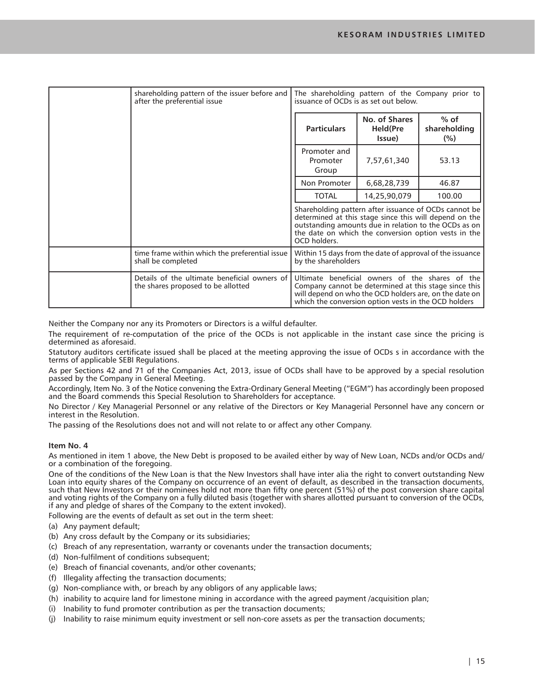| shareholding pattern of the issuer before and<br>after the preferential issue      | The shareholding pattern of the Company prior to<br>issuance of OCDs is as set out below.                                                                                                                                                        |                                             |                               |
|------------------------------------------------------------------------------------|--------------------------------------------------------------------------------------------------------------------------------------------------------------------------------------------------------------------------------------------------|---------------------------------------------|-------------------------------|
|                                                                                    | <b>Particulars</b>                                                                                                                                                                                                                               | No. of Shares<br><b>Held</b> (Pre<br>Issue) | $%$ of<br>shareholding<br>(%) |
|                                                                                    | Promoter and<br>Promoter<br>Group                                                                                                                                                                                                                | 7,57,61,340                                 | 53.13                         |
|                                                                                    | Non Promoter                                                                                                                                                                                                                                     | 6,68,28,739                                 | 46.87                         |
|                                                                                    | <b>TOTAL</b>                                                                                                                                                                                                                                     | 14,25,90,079                                | 100.00                        |
|                                                                                    | Shareholding pattern after issuance of OCDs cannot be<br>determined at this stage since this will depend on the<br>outstanding amounts due in relation to the OCDs as on<br>the date on which the conversion option vests in the<br>OCD holders. |                                             |                               |
| time frame within which the preferential issue<br>shall be completed               | Within 15 days from the date of approval of the issuance<br>by the shareholders                                                                                                                                                                  |                                             |                               |
| Details of the ultimate beneficial owners of<br>the shares proposed to be allotted | Ultimate beneficial owners of the shares of the<br>Company cannot be determined at this stage since this<br>will depend on who the OCD holders are, on the date on<br>which the conversion option vests in the OCD holders                       |                                             |                               |

Neither the Company nor any its Promoters or Directors is a wilful defaulter.

The requirement of re-computation of the price of the OCDs is not applicable in the instant case since the pricing is determined as aforesaid.

Statutory auditors certificate issued shall be placed at the meeting approving the issue of OCDs s in accordance with the terms of applicable SEBI Regulations.

As per Sections 42 and 71 of the Companies Act, 2013, issue of OCDs shall have to be approved by a special resolution passed by the Company in General Meeting.

Accordingly, Item No. 3 of the Notice convening the Extra-Ordinary General Meeting ("EGM") has accordingly been proposed and the Board commends this Special Resolution to Shareholders for acceptance.

No Director / Key Managerial Personnel or any relative of the Directors or Key Managerial Personnel have any concern or interest in the Resolution.

The passing of the Resolutions does not and will not relate to or affect any other Company.

## **Item No. 4**

As mentioned in item 1 above, the New Debt is proposed to be availed either by way of New Loan, NCDs and/or OCDs and/ or a combination of the foregoing.

One of the conditions of the New Loan is that the New Investors shall have inter alia the right to convert outstanding New Loan into equity shares of the Company on occurrence of an event of default, as described in the transaction documents, such that New Investors or their nominees hold not more than fifty one percent (51%) of the post conversion share capital and voting rights of the Company on a fully diluted basis (together with shares allotted pursuant to conversion of the OCDs, if any and pledge of shares of the Company to the extent invoked).

Following are the events of default as set out in the term sheet:

(a) Any payment default;

- (b) Any cross default by the Company or its subsidiaries;
- (c) Breach of any representation, warranty or covenants under the transaction documents;
- (d) Non-fulfilment of conditions subsequent;
- (e) Breach of financial covenants, and/or other covenants;
- (f) Illegality affecting the transaction documents;
- (g) Non-compliance with, or breach by any obligors of any applicable laws;
- (h) inability to acquire land for limestone mining in accordance with the agreed payment /acquisition plan;
- (i) Inability to fund promoter contribution as per the transaction documents;
- (j) Inability to raise minimum equity investment or sell non-core assets as per the transaction documents;